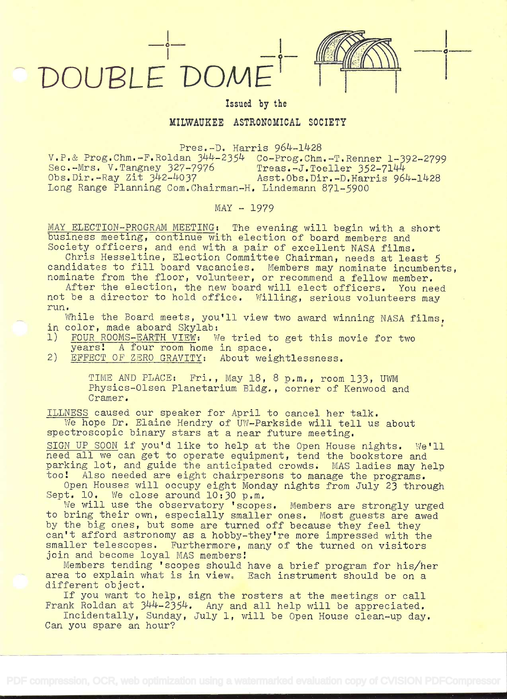## DOUBLE'DOME

## Issued by the

## MILWAUKEE ASTRONOMICAL SOCIETY

Pres.-D. Harris 964-1428

 $V.P.$ & Prog.Chm.-F.Roldan  $344-2354$  Co-Prog.Chm.-T.Renner 1-392-2799<br>Sec.-Mrs. V.Tangney 327-7976 Treas.-J.Toeller 352-7144 Sec.-Mrs. V.Tangney 327-7976 Treas.-J.Toeller 352-7144<br>Obs.Dir.-Ray Zit 342-4037 Asst.Obs.Dir.-D.Harris 964-1428 Obs.Dir.-Ray Zit 342-4037 Long Range Planning Com. Chairman-H. Lindemann 871-5900

 $MAX - 1979$ 

MAY ELECTION-PROGRAM MEETING: The evening will begin with a short<br>business meeting, continue with election of board members and<br>Society officers, and end with a pair of excellent NASA films.<br>Chris Hesseltine, Election Comm

not be a director to hold office. Willing, serious volunteers may<br>run.

While the Board meets, you'll view two award winning NASA films,<br>in color, made aboard Skylab:<br>1) FOUR ROOMS-EARTH VIEW: We tried to get this movie for two

- FOUR ROOMS-EARTH VIEW: We tried to get this movie for two<br>years: A four room home in space.
- 2) EFFECT OF ZERO GRAVITY: About weightlessness.

TIME AND PLACE: Fri., May 18, 8 p.m., room 133, UWM Physics-Olsen Planetarium Bldg. , corner of Kenwood and Cramer.

ILLNESS caused our speaker for April to cancel her talk. We hope Dr. Elaine Hendry of UW-Parkside will tell us about spectroscopic binary stars at a near future meeting.

SIGN UP SOON if you'd like to help at the Open House nights. We'll<br>need all we can get to operate equipment, tend the bookstore and parking lot, and guide the anticipated crowds. MAS ladies may help<br>too! Also needed are eight chairpersons to manage the programs.<br>Open Houses will occupy eight Monday nights from July 23 through<br>Sept. 10. We close around

to bring their own, especially smaller ones. Most guests are awed by the big ones, but some are turned off because they feel they<br>can't afford astronomy as a hobby-they're more impressed with the<br>smaller telescopes. Furthermore, many of the turned on visitors<br>join and become loyal MAS me

Members tending 'scopes should have a brief program for his/her area to explain what is in view. Each instrument should be on a<br>different object.<br>If you want to help, sign the rosters at the meetings or call

Frank Roldan at  $344-2354$ . Any and all help will be appreciated.<br>Incidentally, Sunday, July 1, will be Open House clean-up day. Can you spare an hour?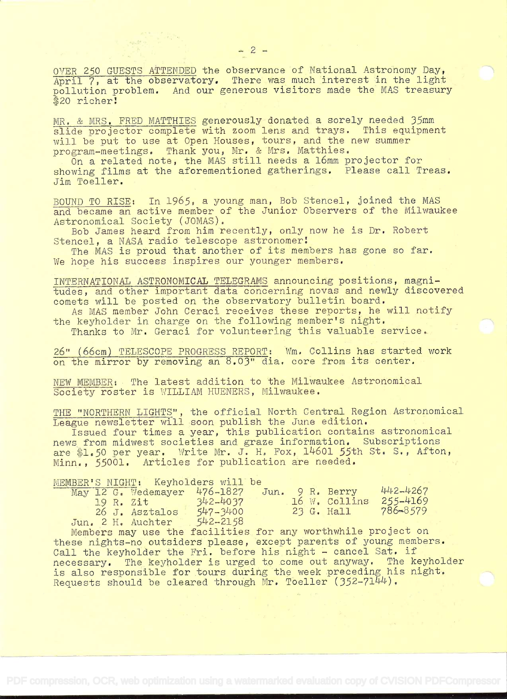OVER 250 GUESTS ATTENDED the observance of National Astronomy Day, April 7, at the observatory. There was much interest in the light pollution problem. And our generous visitors made the MAS treasury \$20 richer!

MIR. & MRS. FRED MATTHIES generously donated a sorely needed 35mm slide projector complete with zoom lens and trays. This equipment will be put to use at Open Houses, tours, and the new summer program-meetings. Thank you, Mr. & Mrs. Matthies.

On a related note, the MAS still needs a 16mm projector for showing films at the aforementioned gatherings. Please call Treas. Jim Toeller.

BOUND TO RISE: In 1965, a young man, Bob Stencel, joined the MAS and became an active member of the Junior Observers of the Milwaukee Astronomical Society (JOMAS),

Bob James heard from him recently, only now he is Dr. Robert Stencel, a NASA radio telescope astronomer!

The MAS is proud that another of its members has gone so far. We hope his success inspires our younger members.

INTERNATIONAL ASTRONOMICAL TELEGRAMS announcing positions, magnitudes, and other important data concerning novas and newly discovered comets will be posted on the observatory bulletin board.

As MAS member John Ceraci receives these reports, he will notify the keyholder in charge on the following member's night.

Thanks to Mr. Geraci for volunteering this valuable service.

26" (66cm) TELESCOPE\_PROGRESS REPORT: Wm, Collins has started work on the mirror by removing an 8.03" dia, core from its center.

NEW MEMBER: The latest addition to the Milwaukee Astronomical Society roster is WILLIAM HUENERS, Milwaukee.

THE "NORTHERN LIGHTS", the official North Central Region Astronomical League newsletter will soon publish the June edition.

Issued four times a year, this publication contains astronomical news from midwest societies and graze information, Subscriptions are \$1.50 per year. Write Mr. J. H. Fox, 14601 55th St. S., Afton, Minn., 55001. Articles for publication are needed.

MEMBER'S NIGHT: Keyholders will be

|  | May 12 G. Wedemayer | 476-1827     |  | Jun. 9 R. Berry | 442-4267 |  |
|--|---------------------|--------------|--|-----------------|----------|--|
|  | 19 R. 2it           | $342 - 4037$ |  | 16 W. Collins   | 255-4169 |  |
|  | 26 J. Asztalos      | $547 - 3400$ |  | 23 G. Hall      | 786-8579 |  |
|  | Jun. 2 H. Auchter   | $542 - 2158$ |  |                 |          |  |

Members may use the facilities for any worthwhile project on these nights-no outsiders please, except parents of young members. Call the keyholder the Fri. before his night - cancel Sat. if necessary. The keyholder is urged to come out anyway. The keyholder is also responsible for tours during the week preceding his night. Requests should be cleared through Mr. Toeller (352-7144).

 $\frac{\partial}{\partial t}=\frac{1}{2}\sum_{j=1}^{N}d\sigma_{j}$